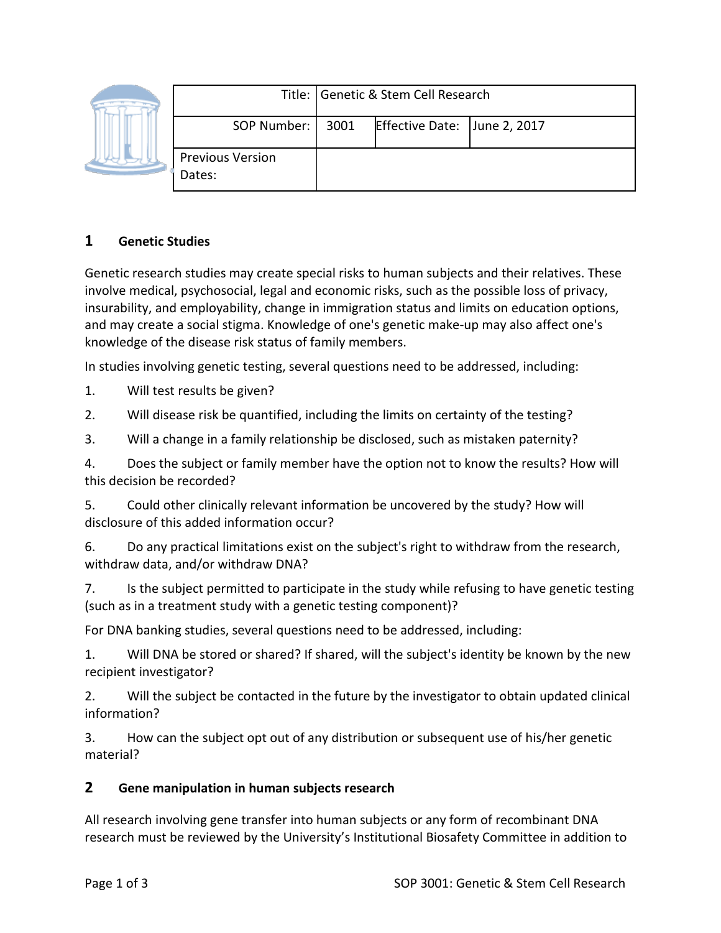|  |                                   | Title: Genetic & Stem Cell Research |                              |  |
|--|-----------------------------------|-------------------------------------|------------------------------|--|
|  | SOP Number:   3001                |                                     | Effective Date: June 2, 2017 |  |
|  | <b>Previous Version</b><br>Dates: |                                     |                              |  |

## **1 Genetic Studies**

Genetic research studies may create special risks to human subjects and their relatives. These involve medical, psychosocial, legal and economic risks, such as the possible loss of privacy, insurability, and employability, change in immigration status and limits on education options, and may create a social stigma. Knowledge of one's genetic make-up may also affect one's knowledge of the disease risk status of family members.

In studies involving genetic testing, several questions need to be addressed, including:

1. Will test results be given?

2. Will disease risk be quantified, including the limits on certainty of the testing?

3. Will a change in a family relationship be disclosed, such as mistaken paternity?

4. Does the subject or family member have the option not to know the results? How will this decision be recorded?

5. Could other clinically relevant information be uncovered by the study? How will disclosure of this added information occur?

6. Do any practical limitations exist on the subject's right to withdraw from the research, withdraw data, and/or withdraw DNA?

7. Is the subject permitted to participate in the study while refusing to have genetic testing (such as in a treatment study with a genetic testing component)?

For DNA banking studies, several questions need to be addressed, including:

1. Will DNA be stored or shared? If shared, will the subject's identity be known by the new recipient investigator?

2. Will the subject be contacted in the future by the investigator to obtain updated clinical information?

3. How can the subject opt out of any distribution or subsequent use of his/her genetic material?

# **2 Gene manipulation in human subjects research**

All research involving gene transfer into human subjects or any form of recombinant DNA research must be reviewed by the University's Institutional Biosafety Committee in addition to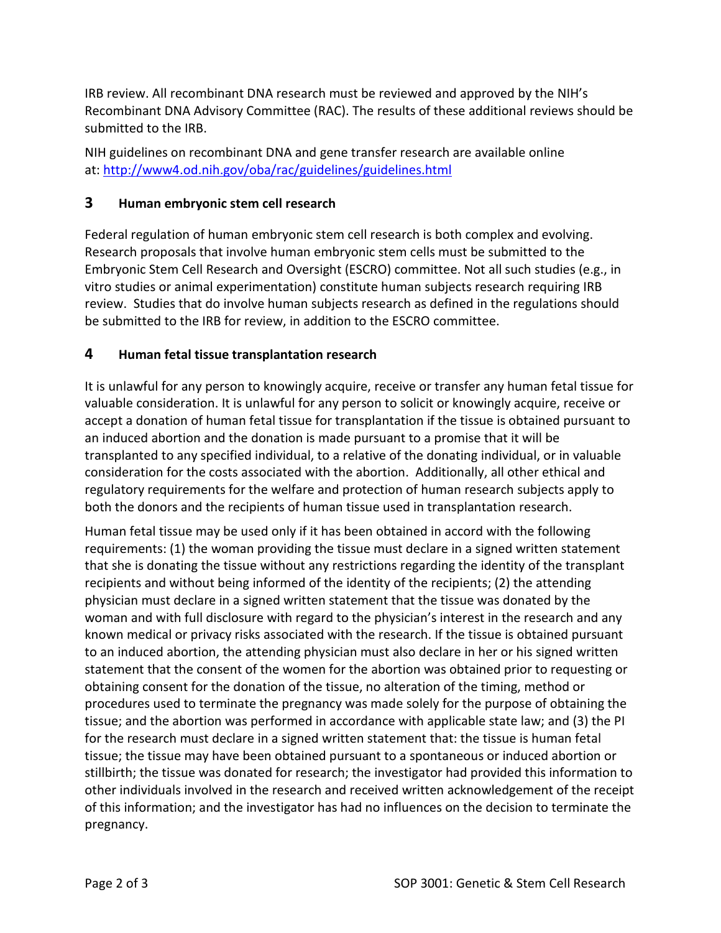IRB review. All recombinant DNA research must be reviewed and approved by the NIH's Recombinant DNA Advisory Committee (RAC). The results of these additional reviews should be submitted to the IRB.

NIH guidelines on recombinant DNA and gene transfer research are available online at: http://www4.od.nih.gov/oba/rac/guidelines/guidelines.html

#### **3 Human embryonic stem cell research**

Federal regulation of human embryonic stem cell research is both complex and evolving. Research proposals that involve human embryonic stem cells must be submitted to the Embryonic Stem Cell Research and Oversight (ESCRO) committee. Not all such studies (e.g., in vitro studies or animal experimentation) constitute human subjects research requiring IRB review. Studies that do involve human subjects research as defined in the regulations should be submitted to the IRB for review, in addition to the ESCRO committee.

#### **4 Human fetal tissue transplantation research**

It is unlawful for any person to knowingly acquire, receive or transfer any human fetal tissue for valuable consideration. It is unlawful for any person to solicit or knowingly acquire, receive or accept a donation of human fetal tissue for transplantation if the tissue is obtained pursuant to an induced abortion and the donation is made pursuant to a promise that it will be transplanted to any specified individual, to a relative of the donating individual, or in valuable consideration for the costs associated with the abortion. Additionally, all other ethical and regulatory requirements for the welfare and protection of human research subjects apply to both the donors and the recipients of human tissue used in transplantation research.

Human fetal tissue may be used only if it has been obtained in accord with the following requirements: (1) the woman providing the tissue must declare in a signed written statement that she is donating the tissue without any restrictions regarding the identity of the transplant recipients and without being informed of the identity of the recipients; (2) the attending physician must declare in a signed written statement that the tissue was donated by the woman and with full disclosure with regard to the physician's interest in the research and any known medical or privacy risks associated with the research. If the tissue is obtained pursuant to an induced abortion, the attending physician must also declare in her or his signed written statement that the consent of the women for the abortion was obtained prior to requesting or obtaining consent for the donation of the tissue, no alteration of the timing, method or procedures used to terminate the pregnancy was made solely for the purpose of obtaining the tissue; and the abortion was performed in accordance with applicable state law; and (3) the PI for the research must declare in a signed written statement that: the tissue is human fetal tissue; the tissue may have been obtained pursuant to a spontaneous or induced abortion or stillbirth; the tissue was donated for research; the investigator had provided this information to other individuals involved in the research and received written acknowledgement of the receipt of this information; and the investigator has had no influences on the decision to terminate the pregnancy.